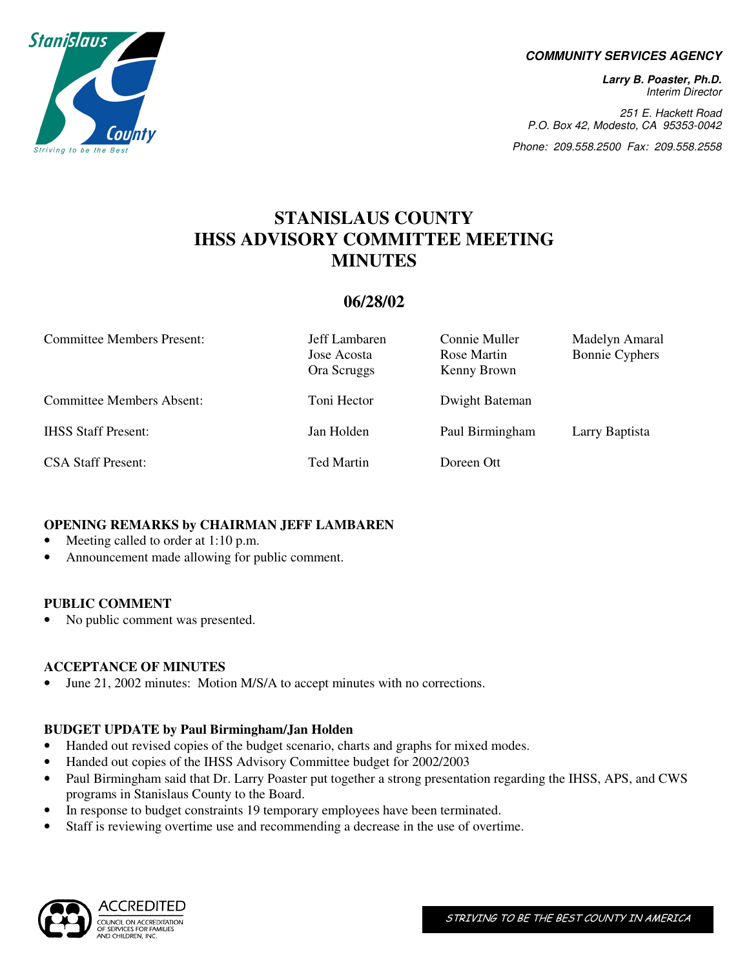

#### **COMMUNITY SERVICES AGENCY**

**Larry B. Poaster, Ph.D.**  Interim Director

251 E. Hackett Road P.O. Box 42, Modesto, CA 95353-0042

Phone: 209.558.2500 Fax: 209.558.2558

# **STANISLAUS COUNTY IHSS ADVISORY COMMITTEE MEETING MINUTES**

# **06/28/02**

| <b>Committee Members Present:</b> | Jeff Lambaren<br>Jose Acosta<br>Ora Scruggs | Connie Muller<br>Rose Martin<br>Kenny Brown | Madelyn Amaral<br><b>Bonnie Cyphers</b> |
|-----------------------------------|---------------------------------------------|---------------------------------------------|-----------------------------------------|
| <b>Committee Members Absent:</b>  | Toni Hector                                 | Dwight Bateman                              |                                         |
| <b>IHSS Staff Present:</b>        | Jan Holden                                  | Paul Birmingham                             | Larry Baptista                          |
| <b>CSA Staff Present:</b>         | Ted Martin                                  | Doreen Ott                                  |                                         |

# **OPENING REMARKS by CHAIRMAN JEFF LAMBAREN**

- Meeting called to order at 1:10 p.m.
- Announcement made allowing for public comment.

### **PUBLIC COMMENT**

No public comment was presented.

# **ACCEPTANCE OF MINUTES**

• June 21, 2002 minutes: Motion M/S/A to accept minutes with no corrections.

# **BUDGET UPDATE by Paul Birmingham/Jan Holden**

- Handed out revised copies of the budget scenario, charts and graphs for mixed modes.
- Handed out copies of the IHSS Advisory Committee budget for 2002/2003
- Paul Birmingham said that Dr. Larry Poaster put together a strong presentation regarding the IHSS, APS, and CWS programs in Stanislaus County to the Board.
- In response to budget constraints 19 temporary employees have been terminated.
- Staff is reviewing overtime use and recommending a decrease in the use of overtime.

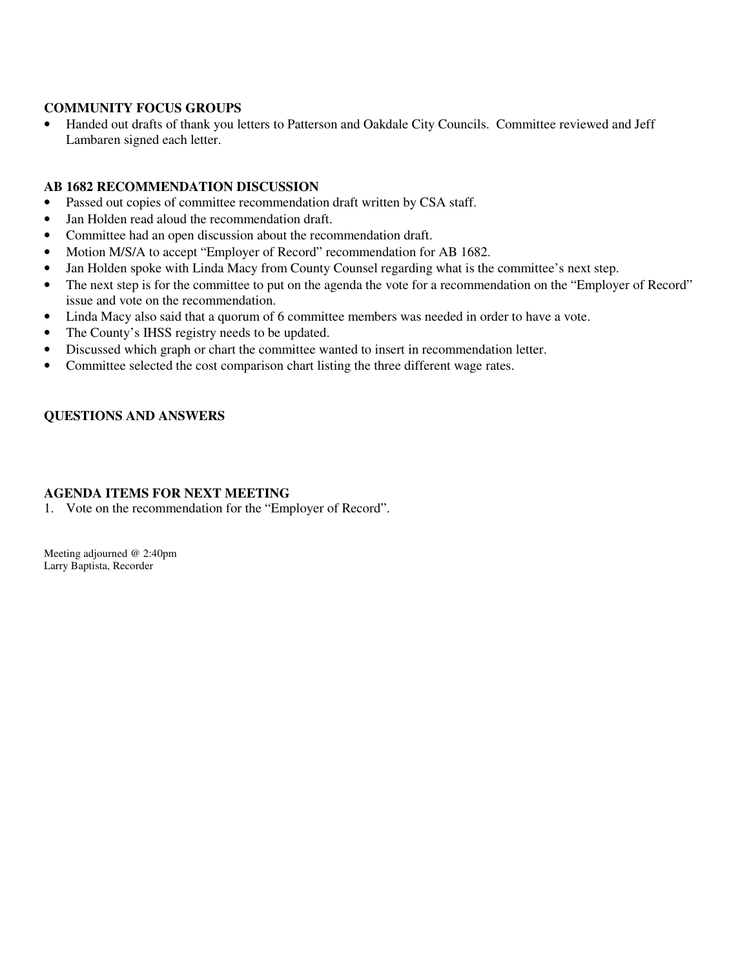### **COMMUNITY FOCUS GROUPS**

• Handed out drafts of thank you letters to Patterson and Oakdale City Councils. Committee reviewed and Jeff Lambaren signed each letter.

### **AB 1682 RECOMMENDATION DISCUSSION**

- Passed out copies of committee recommendation draft written by CSA staff.
- Jan Holden read aloud the recommendation draft.
- Committee had an open discussion about the recommendation draft.
- Motion M/S/A to accept "Employer of Record" recommendation for AB 1682.
- Jan Holden spoke with Linda Macy from County Counsel regarding what is the committee's next step.
- The next step is for the committee to put on the agenda the vote for a recommendation on the "Employer of Record" issue and vote on the recommendation.
- Linda Macy also said that a quorum of 6 committee members was needed in order to have a vote.
- The County's IHSS registry needs to be updated.
- Discussed which graph or chart the committee wanted to insert in recommendation letter.
- Committee selected the cost comparison chart listing the three different wage rates.

# **QUESTIONS AND ANSWERS**

### **AGENDA ITEMS FOR NEXT MEETING**

1. Vote on the recommendation for the "Employer of Record".

Meeting adjourned @ 2:40pm Larry Baptista, Recorder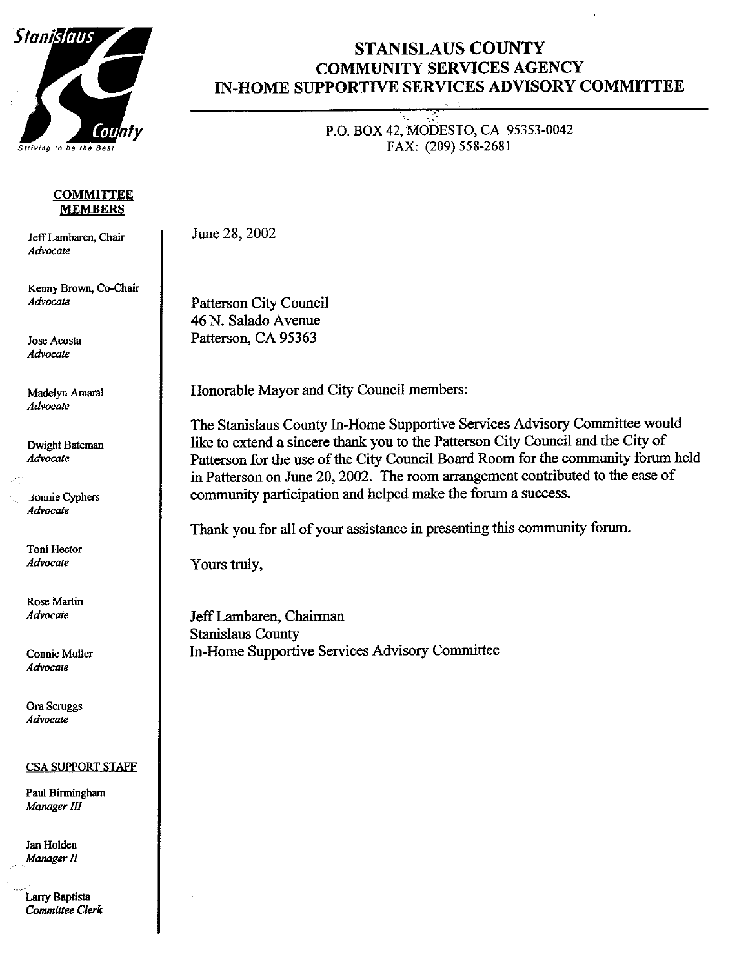

#### **COMMITTEE MEMBERS**

Jeff Lambaren, Chair Advocate

Kenny Brown, Co-Chair Advocate

**Jose Acosta** Advocate

Madelyn Amaral Advocate

Dwight Bateman Advocate

sonnie Cyphers Advocate

Toni Hector Advocate

**Rose Martin** Advocate

**Connie Muller** Advocate

Ora Scruggs Advocate

#### **CSA SUPPORT STAFF**

Paul Birmingham Manager III

Jan Holden Manager II

Larry Baptista **Committee Clerk** 

# **STANISLAUS COUNTY COMMUNITY SERVICES AGENCY** IN-HOME SUPPORTIVE SERVICES ADVISORY COMMITTEE

P.O. BOX 42, MODESTO, CA 95353-0042 FAX: (209) 558-2681

June 28, 2002

**Patterson City Council** 46 N. Salado Avenue Patterson, CA 95363

Honorable Mayor and City Council members:

The Stanislaus County In-Home Supportive Services Advisory Committee would like to extend a sincere thank you to the Patterson City Council and the City of Patterson for the use of the City Council Board Room for the community forum held in Patterson on June 20, 2002. The room arrangement contributed to the ease of community participation and helped make the forum a success.

Thank you for all of your assistance in presenting this community forum.

Yours truly,

Jeff Lambaren, Chairman **Stanislaus County** In-Home Supportive Services Advisory Committee